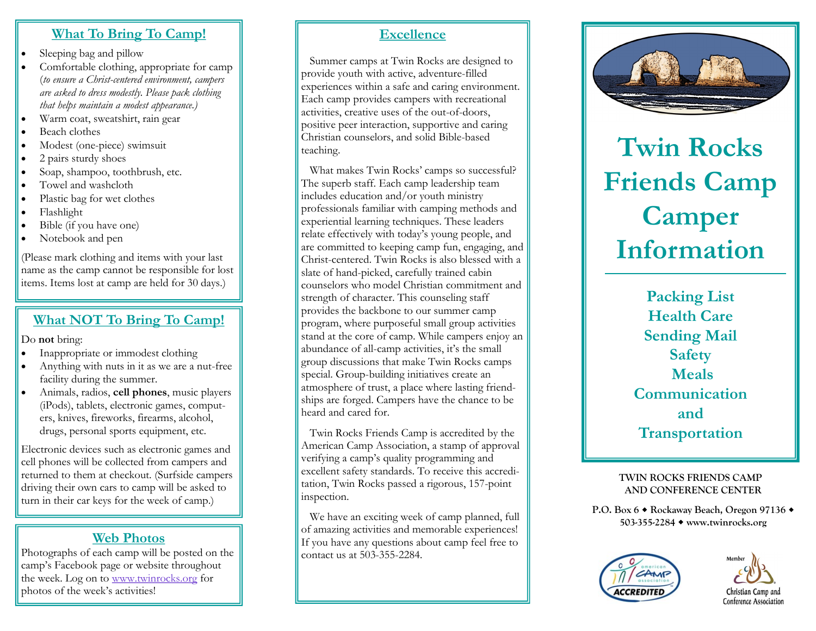#### **What To Bring To Camp!**

- Sleeping bag and pillow
- Comfortable clothing, appropriate for camp (*to ensure a Christ-centered environment, campers are asked to dress modestly. Please pack clothing that helps maintain a modest appearance.)*
- Warm coat, sweatshirt, rain gear
- Beach clothes
- Modest (one-piece) swimsuit
- $\bullet$  2 pairs sturdy shoes
- Soap, shampoo, toothbrush, etc.
- Towel and washcloth
- Plastic bag for wet clothes
- Flashlight
- Bible (if you have one)
- Notebook and pen

(Please mark clothing and items with your last name as the camp cannot be responsible for lost items. Items lost at camp are held for 30 days.)

## **What NOT To Bring To Camp!**

Do **not** bring:

- Inappropriate or immodest clothing
- Anything with nuts in it as we are a nut-free facility during the summer.
- Animals, radios, **cell phones**, music players (iPods), tablets, electronic games, computers, knives, fireworks, firearms, alcohol, drugs, personal sports equipment, etc.

Electronic devices such as electronic games and cell phones will be collected from campers and returned to them at checkout. (Surfside campers driving their own cars to camp will be asked to turn in their car keys for the week of camp.)

# **Web Photos**

Photographs of each camp will be posted on the camp's Facebook page or website throughout the week. Log on to [www.twinrocks.org](http://www.twinrocks.org/) for photos of the week's activities!

#### **Excellence**

 Summer camps at Twin Rocks are designed to provide youth with active, adventure-filled experiences within a safe and caring environment. Each camp provides campers with recreational activities, creative uses of the out-of-doors, positive peer interaction, supportive and caring Christian counselors, and solid Bible-based teaching.

 What makes Twin Rocks' camps so successful? The superb staff. Each camp leadership team includes education and/or youth ministry professionals familiar with camping methods and experiential learning techniques. These leaders relate effectively with today's young people, and are committed to keeping camp fun, engaging, and Christ-centered. Twin Rocks is also blessed with a slate of hand-picked, carefully trained cabin counselors who model Christian commitment and strength of character. This counseling staff provides the backbone to our summer camp program, where purposeful small group activities stand at the core of camp. While campers enjoy an abundance of all-camp activities, it's the small group discussions that make Twin Rocks camps special. Group-building initiatives create an atmosphere of trust, a place where lasting friendships are forged. Campers have the chance to be heard and cared for.

 Twin Rocks Friends Camp is accredited by the American Camp Association, a stamp of approval verifying a camp's quality programming and excellent safety standards. To receive this accreditation, Twin Rocks passed a rigorous, 157-point inspection.

 We have an exciting week of camp planned, full of amazing activities and memorable experiences! If you have any questions about camp feel free to contact us at 503-355-2284.



**Twin Rocks Friends Camp Camper Information**

> **Packing List Health Care Sending Mail Safety Meals Communication and Transportation**

#### **TWIN ROCKS FRIENDS CAMP AND CONFERENCE CENTER**

**P.O. Box 6 Rockaway Beach, Oregon 97136 503-355-2284 www.twinrocks.org**